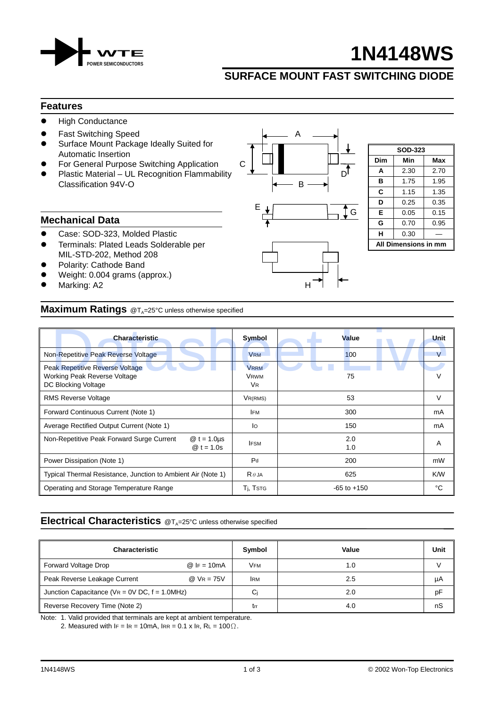

# **1N4148WS**

**SOD-323 Dim Min Max A** 2.30 2.70 **B** 1.75 1.95 **C** 1.15 1.35  $\mathsf{D}$  0.25 0.35 **E** 0.05 0.15 **G** 0.70 0.95  $H$  0.30  $-$ **All Dimensions in mm**

# **SURFACE MOUNT FAST SWITCHING DIODE**

ີ I G

#### **Features**

- $\bullet$  High Conductance
- **Fast Switching Speed A** A
- Surface Mount Package Ideally Suited for Automatic Insertion
- For General Purpose Switching Application C
- Plastic Material UL Recognition Flammability  $\mathbf{I}$   $\mathbf{I}$   $\mathbf{I}$   $\mathbf{I}$   $\mathbf{I}$   $\mathbf{D}^{\mathsf{T}}$  $Classification 94V-O$  B

<u>Experimental properties of the second control of the second control of the second control of the second control of</u>

### **Mechanical Data**

- Case: SOD-323, Molded Plastic
- ! Terminals: Plated Leads Solderable per MIL-STD-202, Method 208
- Polarity: Cathode Band
- Weight: 0.004 grams (approx.)
- Marking: A2

## **Maximum Ratings** @T<sub>A</sub>=25°C unless otherwise specified

| <b>Characteristic</b>                                                                         | Symbol                                             | Value           | Unit   |
|-----------------------------------------------------------------------------------------------|----------------------------------------------------|-----------------|--------|
| Non-Repetitive Peak Reverse Voltage                                                           | <b>VRM</b>                                         | 100             | V      |
| <b>Peak Repetitive Reverse Voltage</b><br>Working Peak Reverse Voltage<br>DC Blocking Voltage | <b>VRRM</b><br><b>VRWM</b><br><b>V<sub>R</sub></b> | 75              |        |
| <b>RMS Reverse Voltage</b>                                                                    | VR(RMS)                                            | 53              | $\vee$ |
| Forward Continuous Current (Note 1)                                                           | <b>IFM</b>                                         | 300             | mA     |
| Average Rectified Output Current (Note 1)                                                     | lo                                                 | 150             | mA     |
| Non-Repetitive Peak Forward Surge Current<br>$@t = 1.0 \mu s$<br>$@t = 1.0s$                  | <b>IFSM</b>                                        | 2.0<br>1.0      | A      |
| Power Dissipation (Note 1)                                                                    | P <sub>d</sub>                                     | 200             | mW     |
| Typical Thermal Resistance, Junction to Ambient Air (Note 1)                                  | $R \theta$ JA                                      | 625             | K/W    |
| Operating and Storage Temperature Range                                                       | T <sub>i</sub> , T <sub>STG</sub>                  | $-65$ to $+150$ | °C     |

# **Electrical Characteristics** @T<sub>A</sub>=25°C unless otherwise specified

| Characteristic                                      |               | Symbol     | Value | Unit |
|-----------------------------------------------------|---------------|------------|-------|------|
| Forward Voltage Drop                                | $@$ IF = 10mA | <b>VFM</b> | 1.0   |      |
| Peak Reverse Leakage Current                        | $@$ VR = 75V  | <b>IRM</b> | 2.5   | μA   |
| Junction Capacitance ( $VR = 0V$ DC, $f = 1.0MHz$ ) |               | Ci         | 2.0   | pF   |
| Reverse Recovery Time (Note 2)                      |               | trr        | 4.0   | nS   |

Note: 1. Valid provided that terminals are kept at ambient temperature.

2. Measured with  $IF = IR = 10mA$ ,  $IRR = 0.1 x IR$ ,  $RL = 100 \Omega$ .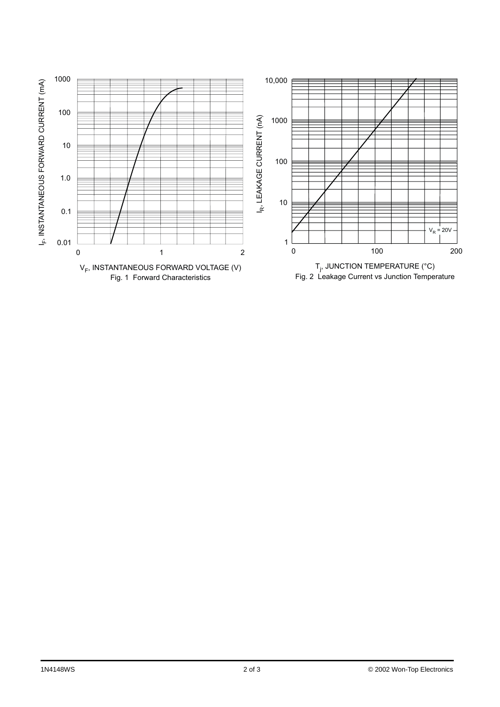